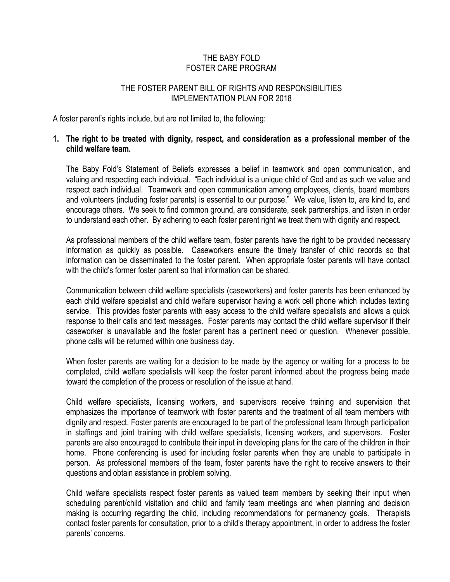# THE BABY FOLD FOSTER CARE PROGRAM

### THE FOSTER PARENT BILL OF RIGHTS AND RESPONSIBILITIES IMPLEMENTATION PLAN FOR 2018

A foster parent"s rights include, but are not limited to, the following:

# **1. The right to be treated with dignity, respect, and consideration as a professional member of the child welfare team.**

The Baby Fold"s Statement of Beliefs expresses a belief in teamwork and open communication, and valuing and respecting each individual. "Each individual is a unique child of God and as such we value and respect each individual. Teamwork and open communication among employees, clients, board members and volunteers (including foster parents) is essential to our purpose." We value, listen to, are kind to, and encourage others. We seek to find common ground, are considerate, seek partnerships, and listen in order to understand each other. By adhering to each foster parent right we treat them with dignity and respect.

As professional members of the child welfare team, foster parents have the right to be provided necessary information as quickly as possible. Caseworkers ensure the timely transfer of child records so that information can be disseminated to the foster parent. When appropriate foster parents will have contact with the child"s former foster parent so that information can be shared.

Communication between child welfare specialists (caseworkers) and foster parents has been enhanced by each child welfare specialist and child welfare supervisor having a work cell phone which includes texting service. This provides foster parents with easy access to the child welfare specialists and allows a quick response to their calls and text messages. Foster parents may contact the child welfare supervisor if their caseworker is unavailable and the foster parent has a pertinent need or question. Whenever possible, phone calls will be returned within one business day.

When foster parents are waiting for a decision to be made by the agency or waiting for a process to be completed, child welfare specialists will keep the foster parent informed about the progress being made toward the completion of the process or resolution of the issue at hand.

Child welfare specialists, licensing workers, and supervisors receive training and supervision that emphasizes the importance of teamwork with foster parents and the treatment of all team members with dignity and respect. Foster parents are encouraged to be part of the professional team through participation in staffings and joint training with child welfare specialists, licensing workers, and supervisors. Foster parents are also encouraged to contribute their input in developing plans for the care of the children in their home. Phone conferencing is used for including foster parents when they are unable to participate in person. As professional members of the team, foster parents have the right to receive answers to their questions and obtain assistance in problem solving.

Child welfare specialists respect foster parents as valued team members by seeking their input when scheduling parent/child visitation and child and family team meetings and when planning and decision making is occurring regarding the child, including recommendations for permanency goals. Therapists contact foster parents for consultation, prior to a child"s therapy appointment, in order to address the foster parents' concerns.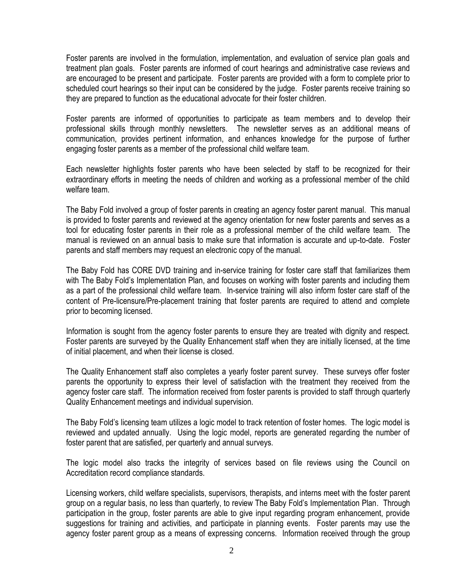Foster parents are involved in the formulation, implementation, and evaluation of service plan goals and treatment plan goals. Foster parents are informed of court hearings and administrative case reviews and are encouraged to be present and participate. Foster parents are provided with a form to complete prior to scheduled court hearings so their input can be considered by the judge. Foster parents receive training so they are prepared to function as the educational advocate for their foster children.

Foster parents are informed of opportunities to participate as team members and to develop their professional skills through monthly newsletters. The newsletter serves as an additional means of communication, provides pertinent information, and enhances knowledge for the purpose of further engaging foster parents as a member of the professional child welfare team.

Each newsletter highlights foster parents who have been selected by staff to be recognized for their extraordinary efforts in meeting the needs of children and working as a professional member of the child welfare team.

The Baby Fold involved a group of foster parents in creating an agency foster parent manual.This manual is provided to foster parents and reviewed at the agency orientation for new foster parents and serves as a tool for educating foster parents in their role as a professional member of the child welfare team. The manual is reviewed on an annual basis to make sure that information is accurate and up-to-date. Foster parents and staff members may request an electronic copy of the manual.

The Baby Fold has CORE DVD training and in-service training for foster care staff that familiarizes them with The Baby Fold"s Implementation Plan, and focuses on working with foster parents and including them as a part of the professional child welfare team. In-service training will also inform foster care staff of the content of Pre-licensure/Pre-placement training that foster parents are required to attend and complete prior to becoming licensed.

Information is sought from the agency foster parents to ensure they are treated with dignity and respect. Foster parents are surveyed by the Quality Enhancement staff when they are initially licensed, at the time of initial placement, and when their license is closed.

The Quality Enhancement staff also completes a yearly foster parent survey. These surveys offer foster parents the opportunity to express their level of satisfaction with the treatment they received from the agency foster care staff. The information received from foster parents is provided to staff through quarterly Quality Enhancement meetings and individual supervision.

The Baby Fold"s licensing team utilizes a logic model to track retention of foster homes. The logic model is reviewed and updated annually. Using the logic model, reports are generated regarding the number of foster parent that are satisfied, per quarterly and annual surveys.

The logic model also tracks the integrity of services based on file reviews using the Council on Accreditation record compliance standards.

Licensing workers, child welfare specialists, supervisors, therapists, and interns meet with the foster parent group on a regular basis, no less than quarterly, to review The Baby Fold"s Implementation Plan. Through participation in the group, foster parents are able to give input regarding program enhancement, provide suggestions for training and activities, and participate in planning events. Foster parents may use the agency foster parent group as a means of expressing concerns. Information received through the group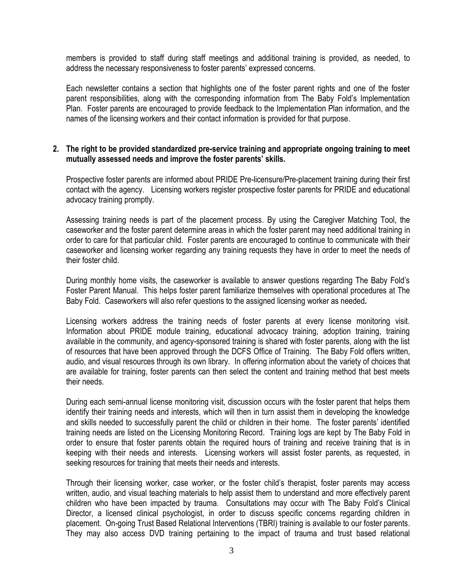members is provided to staff during staff meetings and additional training is provided, as needed, to address the necessary responsiveness to foster parents" expressed concerns.

Each newsletter contains a section that highlights one of the foster parent rights and one of the foster parent responsibilities, along with the corresponding information from The Baby Fold"s Implementation Plan. Foster parents are encouraged to provide feedback to the Implementation Plan information, and the names of the licensing workers and their contact information is provided for that purpose.

### **2. The right to be provided standardized pre-service training and appropriate ongoing training to meet mutually assessed needs and improve the foster parents' skills.**

Prospective foster parents are informed about PRIDE Pre-licensure/Pre-placement training during their first contact with the agency. Licensing workers register prospective foster parents for PRIDE and educational advocacy training promptly.

Assessing training needs is part of the placement process. By using the Caregiver Matching Tool, the caseworker and the foster parent determine areas in which the foster parent may need additional training in order to care for that particular child. Foster parents are encouraged to continue to communicate with their caseworker and licensing worker regarding any training requests they have in order to meet the needs of their foster child.

During monthly home visits, the caseworker is available to answer questions regarding The Baby Fold"s Foster Parent Manual. This helps foster parent familiarize themselves with operational procedures at The Baby Fold.Caseworkers will also refer questions to the assigned licensing worker as needed*.*

Licensing workers address the training needs of foster parents at every license monitoring visit. Information about PRIDE module training, educational advocacy training, adoption training, training available in the community, and agency-sponsored training is shared with foster parents, along with the list of resources that have been approved through the DCFS Office of Training. The Baby Fold offers written, audio, and visual resources through its own library. In offering information about the variety of choices that are available for training, foster parents can then select the content and training method that best meets their needs.

During each semi-annual license monitoring visit, discussion occurs with the foster parent that helps them identify their training needs and interests, which will then in turn assist them in developing the knowledge and skills needed to successfully parent the child or children in their home. The foster parents' identified training needs are listed on the Licensing Monitoring Record. Training logs are kept by The Baby Fold in order to ensure that foster parents obtain the required hours of training and receive training that is in keeping with their needs and interests. Licensing workers will assist foster parents, as requested, in seeking resources for training that meets their needs and interests.

Through their licensing worker, case worker, or the foster child"s therapist, foster parents may access written, audio, and visual teaching materials to help assist them to understand and more effectively parent children who have been impacted by trauma. Consultations may occur with The Baby Fold"s Clinical Director, a licensed clinical psychologist, in order to discuss specific concerns regarding children in placement. On-going Trust Based Relational Interventions (TBRI) training is available to our foster parents. They may also access DVD training pertaining to the impact of trauma and trust based relational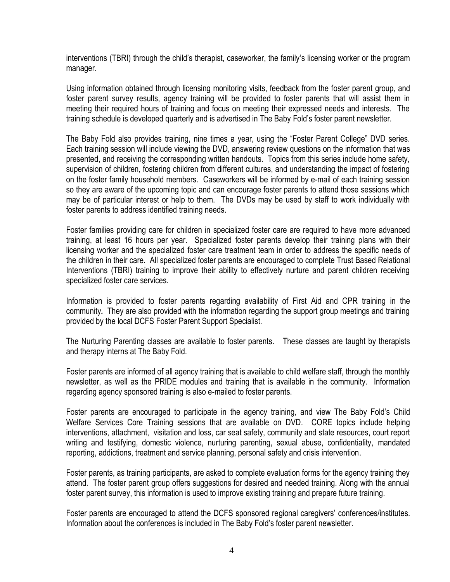interventions (TBRI) through the child"s therapist, caseworker, the family"s licensing worker or the program manager.

Using information obtained through licensing monitoring visits, feedback from the foster parent group, and foster parent survey results, agency training will be provided to foster parents that will assist them in meeting their required hours of training and focus on meeting their expressed needs and interests. The training schedule is developed quarterly and is advertised in The Baby Fold"s foster parent newsletter.

The Baby Fold also provides training, nine times a year, using the "Foster Parent College" DVD series. Each training session will include viewing the DVD, answering review questions on the information that was presented, and receiving the corresponding written handouts. Topics from this series include home safety, supervision of children, fostering children from different cultures, and understanding the impact of fostering on the foster family household members. Caseworkers will be informed by e-mail of each training session so they are aware of the upcoming topic and can encourage foster parents to attend those sessions which may be of particular interest or help to them. The DVDs may be used by staff to work individually with foster parents to address identified training needs.

Foster families providing care for children in specialized foster care are required to have more advanced training, at least 16 hours per year. Specialized foster parents develop their training plans with their licensing worker and the specialized foster care treatment team in order to address the specific needs of the children in their care. All specialized foster parents are encouraged to complete Trust Based Relational Interventions (TBRI) training to improve their ability to effectively nurture and parent children receiving specialized foster care services.

Information is provided to foster parents regarding availability of First Aid and CPR training in the community*.* They are also provided with the information regarding the support group meetings and training provided by the local DCFS Foster Parent Support Specialist.

The Nurturing Parenting classes are available to foster parents. These classes are taught by therapists and therapy interns at The Baby Fold.

Foster parents are informed of all agency training that is available to child welfare staff, through the monthly newsletter, as well as the PRIDE modules and training that is available in the community. Information regarding agency sponsored training is also e-mailed to foster parents.

Foster parents are encouraged to participate in the agency training, and view The Baby Fold"s Child Welfare Services Core Training sessions that are available on DVD. CORE topics include helping interventions, attachment, visitation and loss, car seat safety, community and state resources, court report writing and testifying, domestic violence, nurturing parenting, sexual abuse, confidentiality, mandated reporting, addictions, treatment and service planning, personal safety and crisis intervention.

Foster parents, as training participants, are asked to complete evaluation forms for the agency training they attend. The foster parent group offers suggestions for desired and needed training. Along with the annual foster parent survey, this information is used to improve existing training and prepare future training.

Foster parents are encouraged to attend the DCFS sponsored regional caregivers' conferences/institutes. Information about the conferences is included in The Baby Fold"s foster parent newsletter.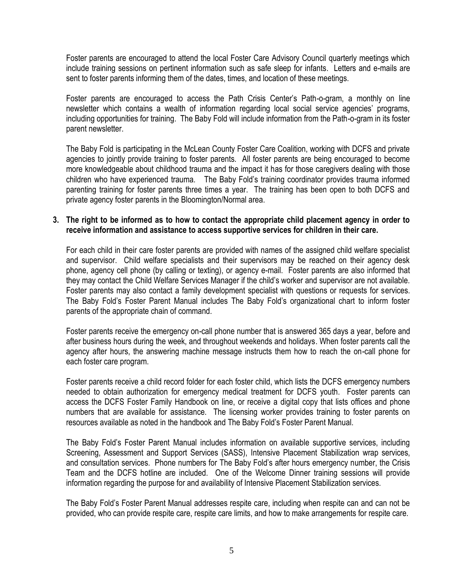Foster parents are encouraged to attend the local Foster Care Advisory Council quarterly meetings which include training sessions on pertinent information such as safe sleep for infants. Letters and e-mails are sent to foster parents informing them of the dates, times, and location of these meetings.

Foster parents are encouraged to access the Path Crisis Center's Path-o-gram, a monthly on line newsletter which contains a wealth of information regarding local social service agencies' programs, including opportunities for training. The Baby Fold will include information from the Path-o-gram in its foster parent newsletter.

The Baby Fold is participating in the McLean County Foster Care Coalition, working with DCFS and private agencies to jointly provide training to foster parents. All foster parents are being encouraged to become more knowledgeable about childhood trauma and the impact it has for those caregivers dealing with those children who have experienced trauma. The Baby Fold"s training coordinator provides trauma informed parenting training for foster parents three times a year. The training has been open to both DCFS and private agency foster parents in the Bloomington/Normal area.

# **3. The right to be informed as to how to contact the appropriate child placement agency in order to receive information and assistance to access supportive services for children in their care.**

For each child in their care foster parents are provided with names of the assigned child welfare specialist and supervisor. Child welfare specialists and their supervisors may be reached on their agency desk phone, agency cell phone (by calling or texting), or agency e-mail. Foster parents are also informed that they may contact the Child Welfare Services Manager if the child"s worker and supervisor are not available. Foster parents may also contact a family development specialist with questions or requests for services. The Baby Fold"s Foster Parent Manual includes The Baby Fold"s organizational chart to inform foster parents of the appropriate chain of command.

Foster parents receive the emergency on-call phone number that is answered 365 days a year, before and after business hours during the week, and throughout weekends and holidays. When foster parents call the agency after hours, the answering machine message instructs them how to reach the on-call phone for each foster care program.

Foster parents receive a child record folder for each foster child, which lists the DCFS emergency numbers needed to obtain authorization for emergency medical treatment for DCFS youth. Foster parents can access the DCFS Foster Family Handbook on line, or receive a digital copy that lists offices and phone numbers that are available for assistance. The licensing worker provides training to foster parents on resources available as noted in the handbook and The Baby Fold"s Foster Parent Manual.

The Baby Fold"s Foster Parent Manual includes information on available supportive services, including Screening, Assessment and Support Services (SASS), Intensive Placement Stabilization wrap services, and consultation services. Phone numbers for The Baby Fold"s after hours emergency number, the Crisis Team and the DCFS hotline are included. One of the Welcome Dinner training sessions will provide information regarding the purpose for and availability of Intensive Placement Stabilization services.

The Baby Fold"s Foster Parent Manual addresses respite care, including when respite can and can not be provided, who can provide respite care, respite care limits, and how to make arrangements for respite care.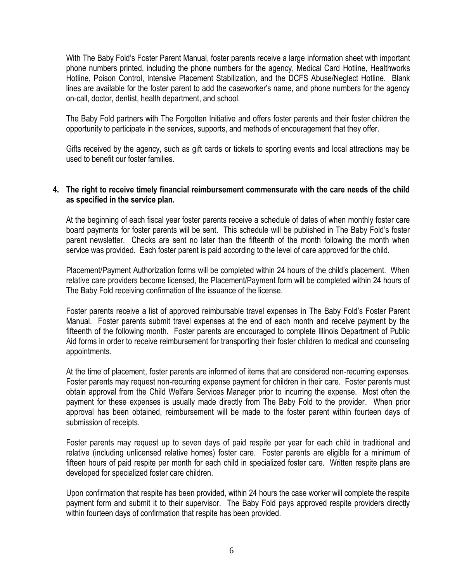With The Baby Fold"s Foster Parent Manual, foster parents receive a large information sheet with important phone numbers printed, including the phone numbers for the agency, Medical Card Hotline, Healthworks Hotline, Poison Control, Intensive Placement Stabilization, and the DCFS Abuse/Neglect Hotline. Blank lines are available for the foster parent to add the caseworker's name, and phone numbers for the agency on-call, doctor, dentist, health department, and school.

The Baby Fold partners with The Forgotten Initiative and offers foster parents and their foster children the opportunity to participate in the services, supports, and methods of encouragement that they offer.

Gifts received by the agency, such as gift cards or tickets to sporting events and local attractions may be used to benefit our foster families.

### **4. The right to receive timely financial reimbursement commensurate with the care needs of the child as specified in the service plan.**

At the beginning of each fiscal year foster parents receive a schedule of dates of when monthly foster care board payments for foster parents will be sent. This schedule will be published in The Baby Fold"s foster parent newsletter. Checks are sent no later than the fifteenth of the month following the month when service was provided. Each foster parent is paid according to the level of care approved for the child.

Placement/Payment Authorization forms will be completed within 24 hours of the child"s placement. When relative care providers become licensed, the Placement/Payment form will be completed within 24 hours of The Baby Fold receiving confirmation of the issuance of the license.

Foster parents receive a list of approved reimbursable travel expenses in The Baby Fold"s Foster Parent Manual. Foster parents submit travel expenses at the end of each month and receive payment by the fifteenth of the following month. Foster parents are encouraged to complete Illinois Department of Public Aid forms in order to receive reimbursement for transporting their foster children to medical and counseling appointments.

At the time of placement, foster parents are informed of items that are considered non-recurring expenses. Foster parents may request non-recurring expense payment for children in their care. Foster parents must obtain approval from the Child Welfare Services Manager prior to incurring the expense. Most often the payment for these expenses is usually made directly from The Baby Fold to the provider. When prior approval has been obtained, reimbursement will be made to the foster parent within fourteen days of submission of receipts.

Foster parents may request up to seven days of paid respite per year for each child in traditional and relative (including unlicensed relative homes) foster care. Foster parents are eligible for a minimum of fifteen hours of paid respite per month for each child in specialized foster care. Written respite plans are developed for specialized foster care children.

Upon confirmation that respite has been provided, within 24 hours the case worker will complete the respite payment form and submit it to their supervisor.The Baby Fold pays approved respite providers directly within fourteen days of confirmation that respite has been provided.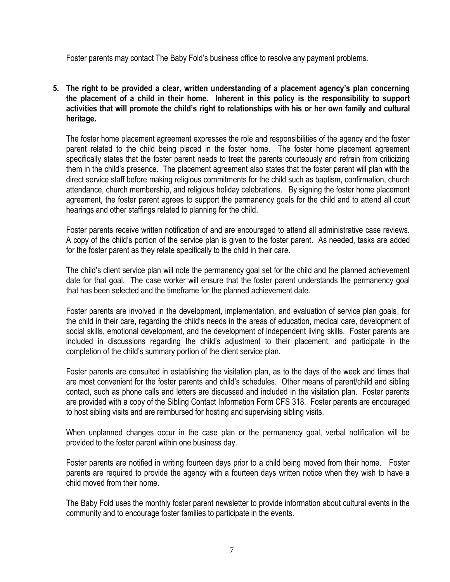Foster parents may contact The Baby Fold"s business office to resolve any payment problems.

**5. The right to be provided a clear, written understanding of a placement agency's plan concerning the placement of a child in their home. Inherent in this policy is the responsibility to support activities that will promote the child's right to relationships with his or her own family and cultural heritage.**

The foster home placement agreement expresses the role and responsibilities of the agency and the foster parent related to the child being placed in the foster home. The foster home placement agreement specifically states that the foster parent needs to treat the parents courteously and refrain from criticizing them in the child"s presence. The placement agreement also states that the foster parent will plan with the direct service staff before making religious commitments for the child such as baptism, confirmation, church attendance, church membership, and religious holiday celebrations. By signing the foster home placement agreement, the foster parent agrees to support the permanency goals for the child and to attend all court hearings and other staffings related to planning for the child.

Foster parents receive written notification of and are encouraged to attend all administrative case reviews. A copy of the child"s portion of the service plan is given to the foster parent. As needed, tasks are added for the foster parent as they relate specifically to the child in their care.

The child"s client service plan will note the permanency goal set for the child and the planned achievement date for that goal. The case worker will ensure that the foster parent understands the permanency goal that has been selected and the timeframe for the planned achievement date.

Foster parents are involved in the development, implementation, and evaluation of service plan goals, for the child in their care, regarding the child"s needs in the areas of education, medical care, development of social skills, emotional development, and the development of independent living skills. Foster parents are included in discussions regarding the child"s adjustment to their placement, and participate in the completion of the child"s summary portion of the client service plan.

Foster parents are consulted in establishing the visitation plan, as to the days of the week and times that are most convenient for the foster parents and child"s schedules. Other means of parent/child and sibling contact, such as phone calls and letters are discussed and included in the visitation plan. Foster parents are provided with a copy of the Sibling Contact Information Form CFS 318. Foster parents are encouraged to host sibling visits and are reimbursed for hosting and supervising sibling visits.

When unplanned changes occur in the case plan or the permanency goal, verbal notification will be provided to the foster parent within one business day.

Foster parents are notified in writing fourteen days prior to a child being moved from their home. Foster parents are required to provide the agency with a fourteen days written notice when they wish to have a child moved from their home.

The Baby Fold uses the monthly foster parent newsletter to provide information about cultural events in the community and to encourage foster families to participate in the events.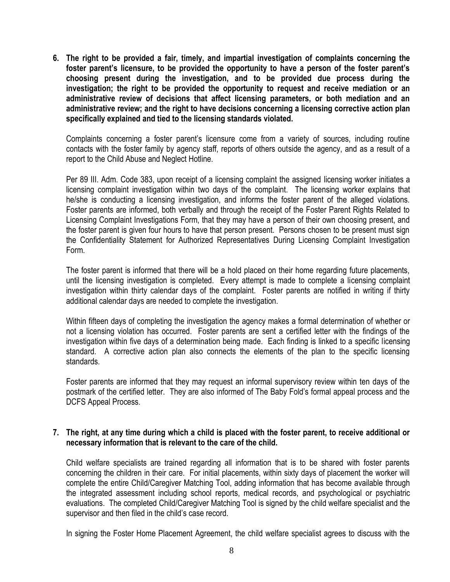**6. The right to be provided a fair, timely, and impartial investigation of complaints concerning the foster parent's licensure, to be provided the opportunity to have a person of the foster parent's choosing present during the investigation, and to be provided due process during the investigation; the right to be provided the opportunity to request and receive mediation or an administrative review of decisions that affect licensing parameters, or both mediation and an administrative review; and the right to have decisions concerning a licensing corrective action plan specifically explained and tied to the licensing standards violated.**

Complaints concerning a foster parent"s licensure come from a variety of sources, including routine contacts with the foster family by agency staff, reports of others outside the agency, and as a result of a report to the Child Abuse and Neglect Hotline.

Per 89 III. Adm. Code 383, upon receipt of a licensing complaint the assigned licensing worker initiates a licensing complaint investigation within two days of the complaint. The licensing worker explains that he/she is conducting a licensing investigation, and informs the foster parent of the alleged violations. Foster parents are informed, both verbally and through the receipt of the Foster Parent Rights Related to Licensing Complaint Investigations Form, that they may have a person of their own choosing present, and the foster parent is given four hours to have that person present. Persons chosen to be present must sign the Confidentiality Statement for Authorized Representatives During Licensing Complaint Investigation Form.

The foster parent is informed that there will be a hold placed on their home regarding future placements, until the licensing investigation is completed. Every attempt is made to complete a licensing complaint investigation within thirty calendar days of the complaint. Foster parents are notified in writing if thirty additional calendar days are needed to complete the investigation.

Within fifteen days of completing the investigation the agency makes a formal determination of whether or not a licensing violation has occurred. Foster parents are sent a certified letter with the findings of the investigation within five days of a determination being made. Each finding is linked to a specific licensing standard. A corrective action plan also connects the elements of the plan to the specific licensing standards.

Foster parents are informed that they may request an informal supervisory review within ten days of the postmark of the certified letter. They are also informed of The Baby Fold"s formal appeal process and the DCFS Appeal Process.

#### **7. The right, at any time during which a child is placed with the foster parent, to receive additional or necessary information that is relevant to the care of the child.**

Child welfare specialists are trained regarding all information that is to be shared with foster parents concerning the children in their care. For initial placements, within sixty days of placement the worker will complete the entire Child/Caregiver Matching Tool, adding information that has become available through the integrated assessment including school reports, medical records, and psychological or psychiatric evaluations. The completed Child/Caregiver Matching Tool is signed by the child welfare specialist and the supervisor and then filed in the child"s case record.

In signing the Foster Home Placement Agreement, the child welfare specialist agrees to discuss with the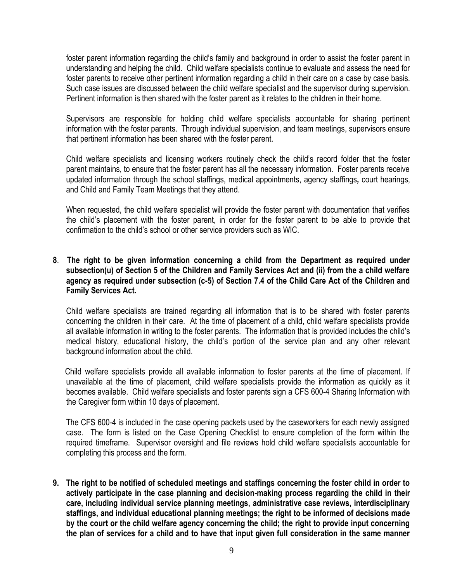foster parent information regarding the child"s family and background in order to assist the foster parent in understanding and helping the child. Child welfare specialists continue to evaluate and assess the need for foster parents to receive other pertinent information regarding a child in their care on a case by case basis. Such case issues are discussed between the child welfare specialist and the supervisor during supervision. Pertinent information is then shared with the foster parent as it relates to the children in their home.

Supervisors are responsible for holding child welfare specialists accountable for sharing pertinent information with the foster parents. Through individual supervision, and team meetings, supervisors ensure that pertinent information has been shared with the foster parent.

Child welfare specialists and licensing workers routinely check the child"s record folder that the foster parent maintains, to ensure that the foster parent has all the necessary information. Foster parents receive updated information through the school staffings, medical appointments, agency staffings*,* court hearings, and Child and Family Team Meetings that they attend.

When requested, the child welfare specialist will provide the foster parent with documentation that verifies the child"s placement with the foster parent, in order for the foster parent to be able to provide that confirmation to the child"s school or other service providers such as WIC.

# **8**. **The right to be given information concerning a child from the Department as required under subsection(u) of Section 5 of the Children and Family Services Act and (ii) from the a child welfare agency as required under subsection (c-5) of Section 7.4 of the Child Care Act of the Children and Family Services Act.**

Child welfare specialists are trained regarding all information that is to be shared with foster parents concerning the children in their care. At the time of placement of a child, child welfare specialists provide all available information in writing to the foster parents. The information that is provided includes the child"s medical history, educational history, the child"s portion of the service plan and any other relevant background information about the child.

 Child welfare specialists provide all available information to foster parents at the time of placement. If unavailable at the time of placement, child welfare specialists provide the information as quickly as it becomes available. Child welfare specialists and foster parents sign a CFS 600-4 Sharing Information with the Caregiver form within 10 days of placement.

The CFS 600-4 is included in the case opening packets used by the caseworkers for each newly assigned case. The form is listed on the Case Opening Checklist to ensure completion of the form within the required timeframe. Supervisor oversight and file reviews hold child welfare specialists accountable for completing this process and the form.

**9. The right to be notified of scheduled meetings and staffings concerning the foster child in order to actively participate in the case planning and decision-making process regarding the child in their care, including individual service planning meetings, administrative case reviews, interdisciplinary staffings, and individual educational planning meetings; the right to be informed of decisions made by the court or the child welfare agency concerning the child; the right to provide input concerning the plan of services for a child and to have that input given full consideration in the same manner**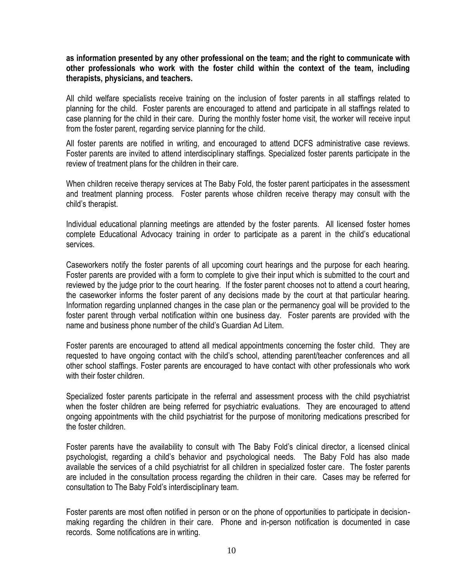**as information presented by any other professional on the team; and the right to communicate with other professionals who work with the foster child within the context of the team, including therapists, physicians, and teachers.**

All child welfare specialists receive training on the inclusion of foster parents in all staffings related to planning for the child. Foster parents are encouraged to attend and participate in all staffings related to case planning for the child in their care. During the monthly foster home visit, the worker will receive input from the foster parent, regarding service planning for the child.

All foster parents are notified in writing*,* and encouraged to attend DCFS administrative case reviews. Foster parents are invited to attend interdisciplinary staffings. Specialized foster parents participate in the review of treatment plans for the children in their care.

When children receive therapy services at The Baby Fold, the foster parent participates in the assessment and treatment planning process*.* Foster parents whose children receive therapy may consult with the child"s therapist.

Individual educational planning meetings are attended by the foster parents. All licensed foster homes complete Educational Advocacy training in order to participate as a parent in the child"s educational services.

Caseworkers notify the foster parents of all upcoming court hearings and the purpose for each hearing. Foster parents are provided with a form to complete to give their input which is submitted to the court and reviewed by the judge prior to the court hearing. If the foster parent chooses not to attend a court hearing, the caseworker informs the foster parent of any decisions made by the court at that particular hearing. Information regarding unplanned changes in the case plan or the permanency goal will be provided to the foster parent through verbal notification within one business day. Foster parents are provided with the name and business phone number of the child"s Guardian Ad Litem.

Foster parents are encouraged to attend all medical appointments concerning the foster child. They are requested to have ongoing contact with the child"s school, attending parent/teacher conferences and all other school staffings. Foster parents are encouraged to have contact with other professionals who work with their foster children.

Specialized foster parents participate in the referral and assessment process with the child psychiatrist when the foster children are being referred for psychiatric evaluations. They are encouraged to attend ongoing appointments with the child psychiatrist for the purpose of monitoring medications prescribed for the foster children.

Foster parents have the availability to consult with The Baby Fold"s clinical director, a licensed clinical psychologist, regarding a child"s behavior and psychological needs. The Baby Fold has also made available the services of a child psychiatrist for all children in specialized foster care. The foster parents are included in the consultation process regarding the children in their care. Cases may be referred for consultation to The Baby Fold"s interdisciplinary team.

Foster parents are most often notified in person or on the phone of opportunities to participate in decisionmaking regarding the children in their care. Phone and in-person notification is documented in case records. Some notifications are in writing.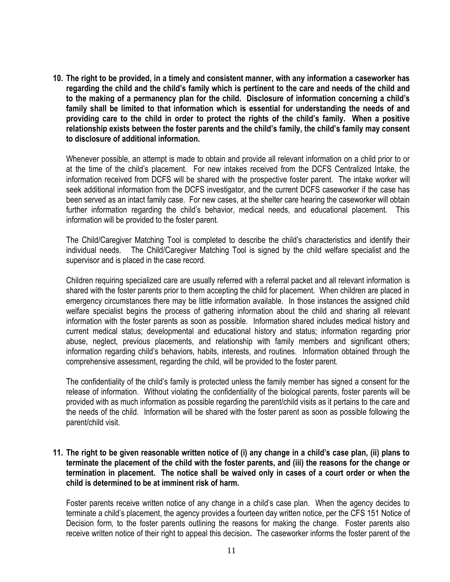**10. The right to be provided, in a timely and consistent manner, with any information a caseworker has regarding the child and the child's family which is pertinent to the care and needs of the child and to the making of a permanency plan for the child. Disclosure of information concerning a child's family shall be limited to that information which is essential for understanding the needs of and providing care to the child in order to protect the rights of the child's family. When a positive relationship exists between the foster parents and the child's family, the child's family may consent to disclosure of additional information.**

Whenever possible, an attempt is made to obtain and provide all relevant information on a child prior to or at the time of the child"s placement. For new intakes received from the DCFS Centralized Intake, the information received from DCFS will be shared with the prospective foster parent. The intake worker will seek additional information from the DCFS investigator, and the current DCFS caseworker if the case has been served as an intact family case. For new cases, at the shelter care hearing the caseworker will obtain further information regarding the child's behavior, medical needs, and educational placement. This information will be provided to the foster parent.

The Child/Caregiver Matching Tool is completed to describe the child"s characteristics and identify their individual needs. The Child/Caregiver Matching Tool is signed by the child welfare specialist and the supervisor and is placed in the case record*.*

Children requiring specialized care are usually referred with a referral packet and all relevant information is shared with the foster parents prior to them accepting the child for placement. When children are placed in emergency circumstances there may be little information available. In those instances the assigned child welfare specialist begins the process of gathering information about the child and sharing all relevant information with the foster parents as soon as possible. Information shared includes medical history and current medical status; developmental and educational history and status; information regarding prior abuse, neglect, previous placements, and relationship with family members and significant others; information regarding child"s behaviors, habits, interests, and routines. Information obtained through the comprehensive assessment, regarding the child, will be provided to the foster parent.

The confidentiality of the child"s family is protected unless the family member has signed a consent for the release of information. Without violating the confidentiality of the biological parents, foster parents will be provided with as much information as possible regarding the parent/child visits as it pertains to the care and the needs of the child. Information will be shared with the foster parent as soon as possible following the parent/child visit.

# **11. The right to be given reasonable written notice of (i) any change in a child's case plan, (ii) plans to terminate the placement of the child with the foster parents, and (iii) the reasons for the change or termination in placement. The notice shall be waived only in cases of a court order or when the child is determined to be at imminent risk of harm.**

Foster parents receive written notice of any change in a child"s case plan. When the agency decides to terminate a child"s placement, the agency provides a fourteen day written notice, per the CFS 151 Notice of Decision form*,* to the foster parents outlining the reasons for making the change. Foster parents also receive written notice of their right to appeal this decision*.* The caseworker informs the foster parent of the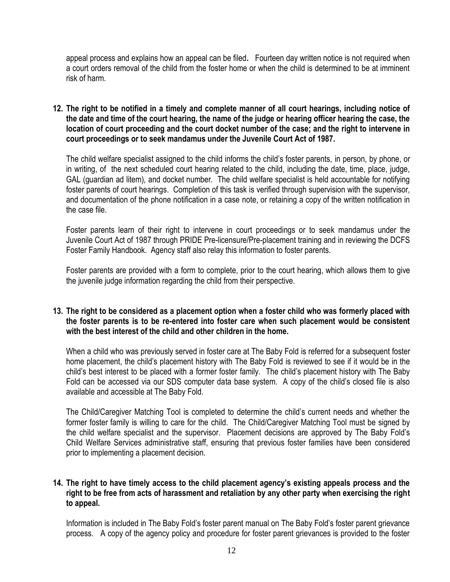appeal process and explains how an appeal can be filed*.* Fourteen day written notice is not required when a court orders removal of the child from the foster home or when the child is determined to be at imminent risk of harm.

**12. The right to be notified in a timely and complete manner of all court hearings, including notice of the date and time of the court hearing, the name of the judge or hearing officer hearing the case, the location of court proceeding and the court docket number of the case; and the right to intervene in court proceedings or to seek mandamus under the Juvenile Court Act of 1987.**

The child welfare specialist assigned to the child informs the child"s foster parents, in person, by phone, or in writing, of the next scheduled court hearing related to the child, including the date, time, place, judge, GAL (guardian ad litem)*,* and docket number. The child welfare specialist is held accountable for notifying foster parents of court hearings.Completion of this task is verified through supervision with the supervisor*,*  and documentation of the phone notification in a case note, or retaining a copy of the written notification in the case file.

Foster parents learn of their right to intervene in court proceedings or to seek mandamus under the Juvenile Court Act of 1987 through PRIDE Pre-licensure/Pre-placement training and in reviewing the DCFS Foster Family Handbook. Agency staff also relay this information to foster parents.

Foster parents are provided with a form to complete, prior to the court hearing, which allows them to give the juvenile judge information regarding the child from their perspective.

# **13. The right to be considered as a placement option when a foster child who was formerly placed with the foster parents is to be re-entered into foster care when such placement would be consistent with the best interest of the child and other children in the home.**

When a child who was previously served in foster care at The Baby Fold is referred for a subsequent foster home placement, the child"s placement history with The Baby Fold is reviewed to see if it would be in the child"s best interest to be placed with a former foster family. The child"s placement history with The Baby Fold can be accessed via our SDS computer data base system. A copy of the child's closed file is also available and accessible at The Baby Fold.

The Child/Caregiver Matching Tool is completed to determine the child"s current needs and whether the former foster family is willing to care for the child. The Child/Caregiver Matching Tool must be signed by the child welfare specialist and the supervisor.Placement decisions are approved by The Baby Fold"s Child Welfare Services administrative staff, ensuring that previous foster families have been considered prior to implementing a placement decision.

# **14. The right to have timely access to the child placement agency's existing appeals process and the right to be free from acts of harassment and retaliation by any other party when exercising the right to appeal.**

Information is included in The Baby Fold"s foster parent manual on The Baby Fold"s foster parent grievance process. A copy of the agency policy and procedure for foster parent grievances is provided to the foster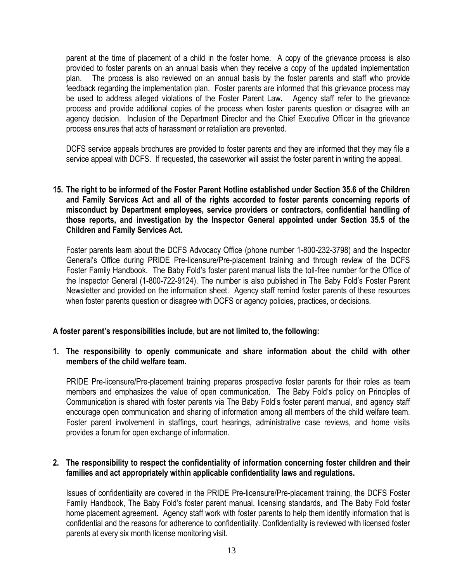parent at the time of placement of a child in the foster home. A copy of the grievance process is also provided to foster parents on an annual basis when they receive a copy of the updated implementation plan. The process is also reviewed on an annual basis by the foster parents and staff who provide feedback regarding the implementation plan. Foster parents are informed that this grievance process may be used to address alleged violations of the Foster Parent Law*.* Agency staff refer to the grievance process and provide additional copies of the process when foster parents question or disagree with an agency decision.Inclusion of the Department Director and the Chief Executive Officer in the grievance process ensures that acts of harassment or retaliation are prevented.

DCFS service appeals brochures are provided to foster parents and they are informed that they may file a service appeal with DCFS. If requested, the caseworker will assist the foster parent in writing the appeal.

**15. The right to be informed of the Foster Parent Hotline established under Section 35.6 of the Children and Family Services Act and all of the rights accorded to foster parents concerning reports of misconduct by Department employees, service providers or contractors, confidential handling of those reports, and investigation by the Inspector General appointed under Section 35.5 of the Children and Family Services Act.**

Foster parents learn about the DCFS Advocacy Office (phone number 1-800-232-3798) and the Inspector General"s Office during PRIDE Pre-licensure/Pre-placement training and through review of the DCFS Foster Family Handbook. The Baby Fold"s foster parent manual lists the toll-free number for the Office of the Inspector General (1-800-722-9124). The number is also published in The Baby Fold"s Foster Parent Newsletter and provided on the information sheet*.* Agency staff remind foster parents of these resources when foster parents question or disagree with DCFS or agency policies, practices, or decisions.

# **A foster parent's responsibilities include, but are not limited to, the following:**

## **1. The responsibility to openly communicate and share information about the child with other members of the child welfare team.**

PRIDE Pre-licensure/Pre-placement training prepares prospective foster parents for their roles as team members and emphasizes the value of open communication. The Baby Fold"s policy on Principles of Communication is shared with foster parents via The Baby Fold"s foster parent manual, and agency staff encourage open communication and sharing of information among all members of the child welfare team. Foster parent involvement in staffings, court hearings, administrative case reviews, and home visits provides a forum for open exchange of information.

## **2. The responsibility to respect the confidentiality of information concerning foster children and their families and act appropriately within applicable confidentiality laws and regulations.**

Issues of confidentiality are covered in the PRIDE Pre-licensure/Pre-placement training, the DCFS Foster Family Handbook, The Baby Fold"s foster parent manual, licensing standards*,* and The Baby Fold foster home placement agreement. Agency staff work with foster parents to help them identify information that is confidential and the reasons for adherence to confidentiality. Confidentiality is reviewed with licensed foster parents at every six month license monitoring visit.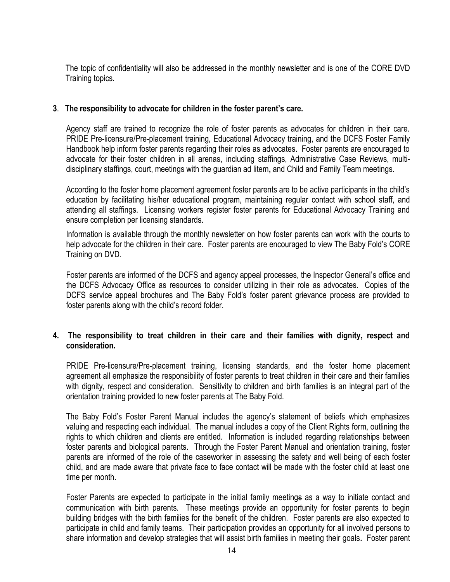The topic of confidentiality will also be addressed in the monthly newsletter and is one of the CORE DVD Training topics.

# **3**. **The responsibility to advocate for children in the foster parent's care.**

Agency staff are trained to recognize the role of foster parents as advocates for children in their care. PRIDE Pre-licensure/Pre-placement training*,* Educational Advocacy training, and the DCFS Foster Family Handbook help inform foster parents regarding their roles as advocates. Foster parents are encouraged to advocate for their foster children in all arenas, including staffings, Administrative Case Reviews, multidisciplinary staffings, court, meetings with the guardian ad litem**,** and Child and Family Team meetings*.*

According to the foster home placement agreement foster parents are to be active participants in the child"s education by facilitating his/her educational program, maintaining regular contact with school staff, and attending all staffings. Licensing workers register foster parents for Educational Advocacy Training and ensure completion per licensing standards*.*

Information is available through the monthly newsletter on how foster parents can work with the courts to help advocate for the children in their care. Foster parents are encouraged to view The Baby Fold"s CORE Training on DVD.

Foster parents are informed of the DCFS and agency appeal processes, the Inspector General"s office and the DCFS Advocacy Office as resources to consider utilizing in their role as advocates. Copies of the DCFS service appeal brochures and The Baby Fold"s foster parent grievance process are provided to foster parents along with the child"s record folder.

# **4. The responsibility to treat children in their care and their families with dignity, respect and consideration.**

PRIDE Pre-licensure/Pre-placement training, licensing standards, and the foster home placement agreement all emphasize the responsibility of foster parents to treat children in their care and their families with dignity, respect and consideration. Sensitivity to children and birth families is an integral part of the orientation training provided to new foster parents at The Baby Fold.

The Baby Fold"s Foster Parent Manual includes the agency"s statement of beliefs which emphasizes valuing and respecting each individual. The manual includes a copy of the Client Rights form, outlining the rights to which children and clients are entitled. Information is included regarding relationships between foster parents and biological parents. Through the Foster Parent Manual and orientation training, foster parents are informed of the role of the caseworker in assessing the safety and well being of each foster child, and are made aware that private face to face contact will be made with the foster child at least one time per month.

Foster Parents are expected to participate in the initial family meetings as a way to initiate contact and communication with birth parents. These meetings provide an opportunity for foster parents to begin building bridges with the birth families for the benefit of the children. Foster parents are also expected to participate in child and family teams. Their participation provides an opportunity for all involved persons to share information and develop strategies that will assist birth families in meeting their goals*.* Foster parent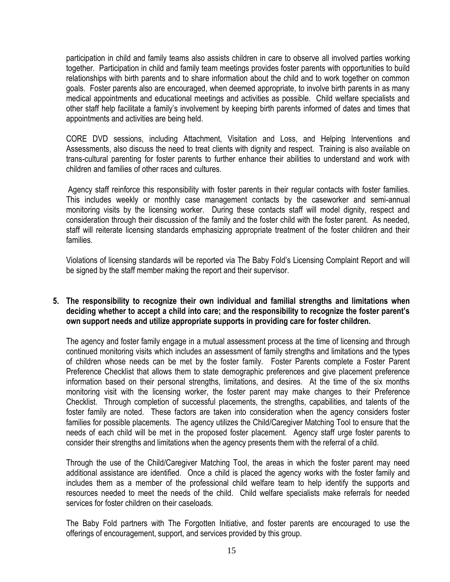participation in child and family teams also assists children in care to observe all involved parties working together. Participation in child and family team meetings provides foster parents with opportunities to build relationships with birth parents and to share information about the child and to work together on common goals. Foster parents also are encouraged, when deemed appropriate, to involve birth parents in as many medical appointments and educational meetings and activities as possible. Child welfare specialists and other staff help facilitate a family"s involvement by keeping birth parents informed of dates and times that appointments and activities are being held.

CORE DVD sessions, including Attachment, Visitation and Loss, and Helping Interventions and Assessments, also discuss the need to treat clients with dignity and respect. Training is also available on trans-cultural parenting for foster parents to further enhance their abilities to understand and work with children and families of other races and cultures.

Agency staff reinforce this responsibility with foster parents in their regular contacts with foster families. This includes weekly or monthly case management contacts by the caseworker and semi-annual monitoring visits by the licensing worker. During these contacts staff will model dignity, respect and consideration through their discussion of the family and the foster child with the foster parent. As needed, staff will reiterate licensing standards emphasizing appropriate treatment of the foster children and their families.

Violations of licensing standards will be reported via The Baby Fold"s Licensing Complaint Report and will be signed by the staff member making the report and their supervisor.

# **5. The responsibility to recognize their own individual and familial strengths and limitations when deciding whether to accept a child into care; and the responsibility to recognize the foster parent's own support needs and utilize appropriate supports in providing care for foster children.**

The agency and foster family engage in a mutual assessment process at the time of licensing and through continued monitoring visits which includes an assessment of family strengths and limitations and the types of children whose needs can be met by the foster family.Foster Parents complete a Foster Parent Preference Checklist that allows them to state demographic preferences and give placement preference information based on their personal strengths, limitations, and desires. At the time of the six months monitoring visit with the licensing worker, the foster parent may make changes to their Preference Checklist. Through completion of successful placements, the strengths, capabilities, and talents of the foster family are noted. These factors are taken into consideration when the agency considers foster families for possible placements. The agency utilizes the Child/Caregiver Matching Tool to ensure that the needs of each child will be met in the proposed foster placement.Agency staff urge foster parents to consider their strengths and limitations when the agency presents them with the referral of a child.

Through the use of the Child/Caregiver Matching Tool, the areas in which the foster parent may need additional assistance are identified.Once a child is placed the agency works with the foster family and includes them as a member of the professional child welfare team to help identify the supports and resources needed to meet the needs of the child. Child welfare specialists make referrals for needed services for foster children on their caseloads.

The Baby Fold partners with The Forgotten Initiative, and foster parents are encouraged to use the offerings of encouragement, support, and services provided by this group.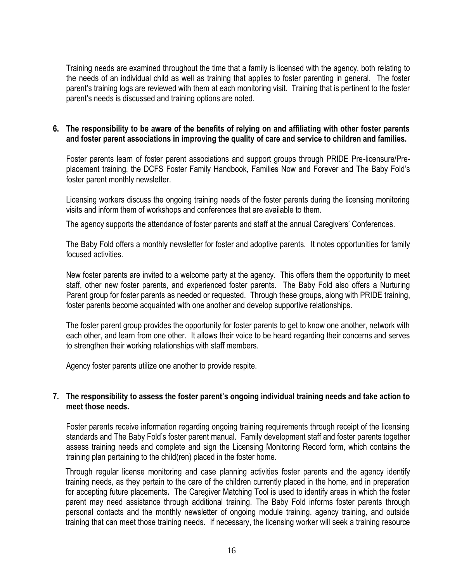Training needs are examined throughout the time that a family is licensed with the agency, both relating to the needs of an individual child as well as training that applies to foster parenting in general.The foster parent"s training logs are reviewed with them at each monitoring visit. Training that is pertinent to the foster parent"s needs is discussed and training options are noted.

# **6. The responsibility to be aware of the benefits of relying on and affiliating with other foster parents and foster parent associations in improving the quality of care and service to children and families.**

Foster parents learn of foster parent associations and support groups through PRIDE Pre-licensure/Preplacement training, the DCFS Foster Family Handbook, Families Now and Forever and The Baby Fold"s foster parent monthly newsletter.

Licensing workers discuss the ongoing training needs of the foster parents during the licensing monitoring visits and inform them of workshops and conferences that are available to them.

The agency supports the attendance of foster parents and staff at the annual Caregivers" Conferences.

The Baby Fold offers a monthly newsletter for foster and adoptive parents.It notes opportunities for family focused activities.

New foster parents are invited to a welcome party at the agency. This offers them the opportunity to meet staff, other new foster parents, and experienced foster parents.The Baby Fold also offers a Nurturing Parent group for foster parents as needed or requested. Through these groups, along with PRIDE training, foster parents become acquainted with one another and develop supportive relationships.

The foster parent group provides the opportunity for foster parents to get to know one another, network with each other, and learn from one other. It allows their voice to be heard regarding their concerns and serves to strengthen their working relationships with staff members.

Agency foster parents utilize one another to provide respite.

## **7. The responsibility to assess the foster parent's ongoing individual training needs and take action to meet those needs.**

Foster parents receive information regarding ongoing training requirements through receipt of the licensing standards and The Baby Fold"s foster parent manual. Family development staff and foster parents together assess training needs and complete and sign the Licensing Monitoring Record form, which contains the training plan pertaining to the child(ren) placed in the foster home*.*

Through regular license monitoring and case planning activities foster parents and the agency identify training needs*,* as they pertain to the care of the children currently placed in the home, and in preparation for accepting future placements**.** The Caregiver Matching Tool is used to identify areas in which the foster parent may need assistance through additional training*.* The Baby Fold informs foster parents through personal contacts and the monthly newsletter of ongoing module training, agency training, and outside training that can meet those training needs**.** If necessary, the licensing worker will seek a training resource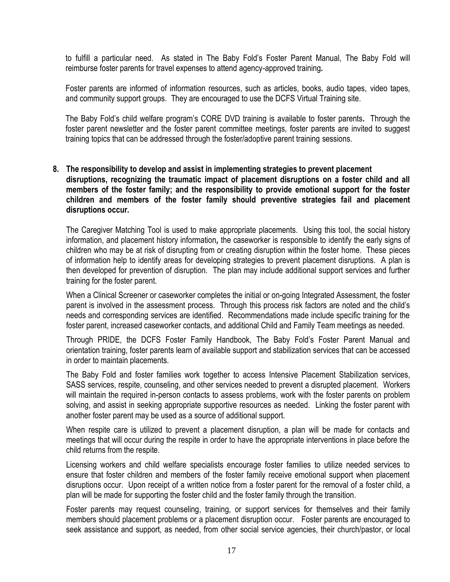to fulfill a particular need. As stated in The Baby Fold"s Foster Parent Manual, The Baby Fold will reimburse foster parents for travel expenses to attend agency-approved training*.*

Foster parents are informed of information resources, such as articles, books, audio tapes, video tapes, and community support groups. They are encouraged to use the DCFS Virtual Training site.

The Baby Fold"s child welfare program"s CORE DVD training is available to foster parents**.** Through the foster parent newsletter and the foster parent committee meetings, foster parents are invited to suggest training topics that can be addressed through the foster/adoptive parent training sessions.

# **8. The responsibility to develop and assist in implementing strategies to prevent placement disruptions, recognizing the traumatic impact of placement disruptions on a foster child and all members of the foster family; and the responsibility to provide emotional support for the foster children and members of the foster family should preventive strategies fail and placement disruptions occur.**

The Caregiver Matching Tool is used to make appropriate placements. Using this tool, the social history information, and placement history information*,* the caseworker is responsible to identify the early signs of children who may be at risk of disrupting from or creating disruption within the foster home. These pieces of information help to identify areas for developing strategies to prevent placement disruptions. A plan is then developed for prevention of disruption. The plan may include additional support services and further training for the foster parent.

When a Clinical Screener or caseworker completes the initial or on-going Integrated Assessment, the foster parent is involved in the assessment process. Through this process risk factors are noted and the child"s needs and corresponding services are identified. Recommendations made include specific training for the foster parent, increased caseworker contacts, and additional Child and Family Team meetings as needed.

Through PRIDE, the DCFS Foster Family Handbook, The Baby Fold"s Foster Parent Manual and orientation training, foster parents learn of available support and stabilization services that can be accessed in order to maintain placements.

The Baby Fold and foster families work together to access Intensive Placement Stabilization services, SASS services, respite, counseling, and other services needed to prevent a disrupted placement. Workers will maintain the required in-person contacts to assess problems, work with the foster parents on problem solving, and assist in seeking appropriate supportive resources as needed. Linking the foster parent with another foster parent may be used as a source of additional support.

When respite care is utilized to prevent a placement disruption, a plan will be made for contacts and meetings that will occur during the respite in order to have the appropriate interventions in place before the child returns from the respite.

Licensing workers and child welfare specialists encourage foster families to utilize needed services to ensure that foster children and members of the foster family receive emotional support when placement disruptions occur. Upon receipt of a written notice from a foster parent for the removal of a foster child, a plan will be made for supporting the foster child and the foster family through the transition.

Foster parents may request counseling, training, or support services for themselves and their family members should placement problems or a placement disruption occur. Foster parents are encouraged to seek assistance and support, as needed, from other social service agencies, their church/pastor, or local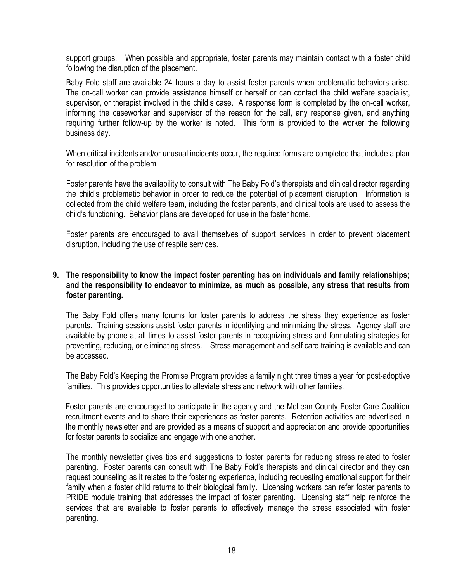support groups. When possible and appropriate, foster parents may maintain contact with a foster child following the disruption of the placement.

Baby Fold staff are available 24 hours a day to assist foster parents when problematic behaviors arise. The on-call worker can provide assistance himself or herself or can contact the child welfare specialist, supervisor, or therapist involved in the child"s case. A response form is completed by the on-call worker, informing the caseworker and supervisor of the reason for the call, any response given, and anything requiring further follow-up by the worker is noted. This form is provided to the worker the following business day.

When critical incidents and/or unusual incidents occur, the required forms are completed that include a plan for resolution of the problem.

Foster parents have the availability to consult with The Baby Fold"s therapists and clinical director regarding the child"s problematic behavior in order to reduce the potential of placement disruption. Information is collected from the child welfare team, including the foster parents, and clinical tools are used to assess the child"s functioning. Behavior plans are developed for use in the foster home.

Foster parents are encouraged to avail themselves of support services in order to prevent placement disruption, including the use of respite services.

## **9. The responsibility to know the impact foster parenting has on individuals and family relationships; and the responsibility to endeavor to minimize, as much as possible, any stress that results from foster parenting.**

The Baby Fold offers many forums for foster parents to address the stress they experience as foster parents. Training sessions assist foster parents in identifying and minimizing the stress. Agency staff are available by phone at all times to assist foster parents in recognizing stress and formulating strategies for preventing, reducing, or eliminating stress. Stress management and self care training is available and can be accessed.

The Baby Fold"s Keeping the Promise Program provides a family night three times a year for post-adoptive families. This provides opportunities to alleviate stress and network with other families.

Foster parents are encouraged to participate in the agency and the McLean County Foster Care Coalition recruitment events and to share their experiences as foster parents. Retention activities are advertised in the monthly newsletter and are provided as a means of support and appreciation and provide opportunities for foster parents to socialize and engage with one another.

The monthly newsletter gives tips and suggestions to foster parents for reducing stress related to foster parenting. Foster parents can consult with The Baby Fold"s therapists and clinical director and they can request counseling as it relates to the fostering experience, including requesting emotional support for their family when a foster child returns to their biological family. Licensing workers can refer foster parents to PRIDE module training that addresses the impact of foster parenting. Licensing staff help reinforce the services that are available to foster parents to effectively manage the stress associated with foster parenting.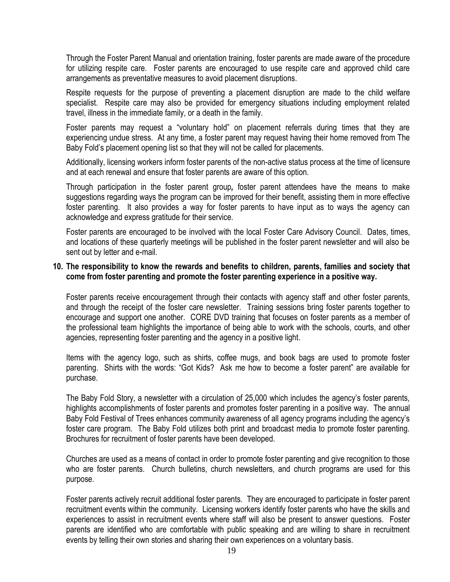Through the Foster Parent Manual and orientation training, foster parents are made aware of the procedure for utilizing respite care. Foster parents are encouraged to use respite care and approved child care arrangements as preventative measures to avoid placement disruptions.

Respite requests for the purpose of preventing a placement disruption are made to the child welfare specialist. Respite care may also be provided for emergency situations including employment related travel, illness in the immediate family, or a death in the family.

Foster parents may request a "voluntary hold" on placement referrals during times that they are experiencing undue stress. At any time, a foster parent may request having their home removed from The Baby Fold"s placement opening list so that they will not be called for placements.

Additionally, licensing workers inform foster parents of the non-active status process at the time of licensure and at each renewal and ensure that foster parents are aware of this option.

Through participation in the foster parent group*,* foster parent attendees have the means to make suggestions regarding ways the program can be improved for their benefit, assisting them in more effective foster parenting. It also provides a way for foster parents to have input as to ways the agency can acknowledge and express gratitude for their service.

Foster parents are encouraged to be involved with the local Foster Care Advisory Council. Dates, times, and locations of these quarterly meetings will be published in the foster parent newsletter and will also be sent out by letter and e-mail.

### **10. The responsibility to know the rewards and benefits to children, parents, families and society that come from foster parenting and promote the foster parenting experience in a positive way.**

Foster parents receive encouragement through their contacts with agency staff and other foster parents*,*  and through the receipt of the foster care newsletter*.* Training sessions bring foster parents together to encourage and support one another. CORE DVD training that focuses on foster parents as a member of the professional team highlights the importance of being able to work with the schools, courts, and other agencies, representing foster parenting and the agency in a positive light.

Items with the agency logo, such as shirts, coffee mugs, and book bags are used to promote foster parenting. Shirts with the words: "Got Kids? Ask me how to become a foster parent" are available for purchase.

The Baby Fold Story, a newsletter with a circulation of 25,000 which includes the agency"s foster parents, highlights accomplishments of foster parents and promotes foster parenting in a positive way. The annual Baby Fold Festival of Trees enhances community awareness of all agency programs including the agency"s foster care program. The Baby Fold utilizes both print and broadcast media to promote foster parenting. Brochures for recruitment of foster parents have been developed.

Churches are used as a means of contact in order to promote foster parenting and give recognition to those who are foster parents. Church bulletins, church newsletters, and church programs are used for this purpose.

Foster parents actively recruit additional foster parents. They are encouraged to participate in foster parent recruitment events within the community. Licensing workers identify foster parents who have the skills and experiences to assist in recruitment events where staff will also be present to answer questions. Foster parents are identified who are comfortable with public speaking and are willing to share in recruitment events by telling their own stories and sharing their own experiences on a voluntary basis.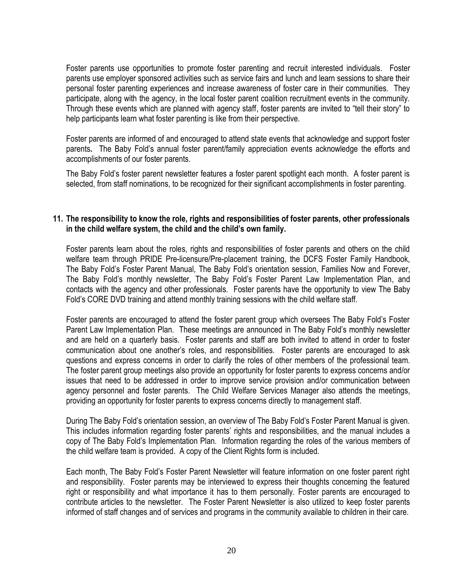Foster parents use opportunities to promote foster parenting and recruit interested individuals. Foster parents use employer sponsored activities such as service fairs and lunch and learn sessions to share their personal foster parenting experiences and increase awareness of foster care in their communities. They participate, along with the agency, in the local foster parent coalition recruitment events in the community. Through these events which are planned with agency staff, foster parents are invited to "tell their story" to help participants learn what foster parenting is like from their perspective.

Foster parents are informed of and encouraged to attend state events that acknowledge and support foster parents**.** The Baby Fold"s annual foster parent/family appreciation events acknowledge the efforts and accomplishments of our foster parents.

The Baby Fold"s foster parent newsletter features a foster parent spotlight each month. A foster parent is selected, from staff nominations, to be recognized for their significant accomplishments in foster parenting.

### **11. The responsibility to know the role, rights and responsibilities of foster parents, other professionals in the child welfare system, the child and the child's own family.**

Foster parents learn about the roles, rights and responsibilities of foster parents and others on the child welfare team through PRIDE Pre-licensure/Pre-placement training, the DCFS Foster Family Handbook, The Baby Fold"s Foster Parent Manual*,* The Baby Fold"s orientation session, Families Now and Forever, The Baby Fold"s monthly newsletter*,* The Baby Fold"s Foster Parent Law Implementation Plan, and contacts with the agency and other professionals.Foster parents have the opportunity to view The Baby Fold"s CORE DVD training and attend monthly training sessions with the child welfare staff.

Foster parents are encouraged to attend the foster parent group which oversees The Baby Fold"s Foster Parent Law Implementation Plan. These meetings are announced in The Baby Fold"s monthly newsletter and are held on a quarterly basis. Foster parents and staff are both invited to attend in order to foster communication about one another"s roles, and responsibilities. Foster parents are encouraged to ask questions and express concerns in order to clarify the roles of other members of the professional team. The foster parent group meetings also provide an opportunity for foster parents to express concerns and/or issues that need to be addressed in order to improve service provision and/or communication between agency personnel and foster parents. The Child Welfare Services Manager also attends the meetings, providing an opportunity for foster parents to express concerns directly to management staff.

During The Baby Fold"s orientation session, an overview of The Baby Fold"s Foster Parent Manual is given. This includes information regarding foster parents' rights and responsibilities, and the manual includes a copy of The Baby Fold"s Implementation Plan. Information regarding the roles of the various members of the child welfare team is provided. A copy of the Client Rights form is included.

Each month, The Baby Fold"s Foster Parent Newsletter will feature information on one foster parent right and responsibility. Foster parents may be interviewed to express their thoughts concerning the featured right or responsibility and what importance it has to them personally. Foster parents are encouraged to contribute articles to the newsletter. The Foster Parent Newsletter is also utilized to keep foster parents informed of staff changes and of services and programs in the community available to children in their care.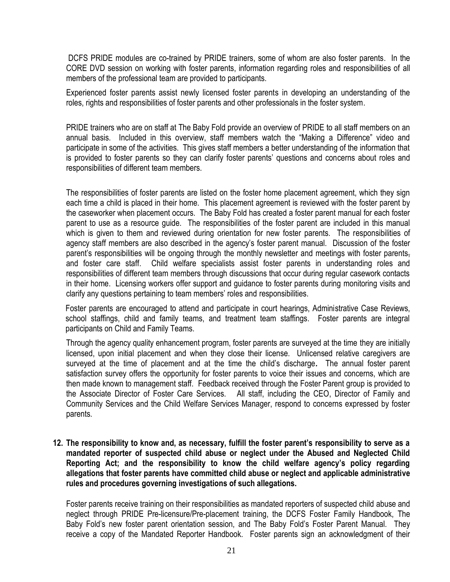DCFS PRIDE modules are co-trained by PRIDE trainers, some of whom are also foster parents.In the CORE DVD session on working with foster parents, information regarding roles and responsibilities of all members of the professional team are provided to participants.

Experienced foster parents assist newly licensed foster parents in developing an understanding of the roles, rights and responsibilities of foster parents and other professionals in the foster system.

PRIDE trainers who are on staff at The Baby Fold provide an overview of PRIDE to all staff members on an annual basis. Included in this overview, staff members watch the "Making a Difference" video and participate in some of the activities. This gives staff members a better understanding of the information that is provided to foster parents so they can clarify foster parents' questions and concerns about roles and responsibilities of different team members.

The responsibilities of foster parents are listed on the foster home placement agreement, which they sign each time a child is placed in their home. This placement agreement is reviewed with the foster parent by the caseworker when placement occurs. The Baby Fold has created a foster parent manual for each foster parent to use as a resource guide. The responsibilities of the foster parent are included in this manual which is given to them and reviewed during orientation for new foster parents. The responsibilities of agency staff members are also described in the agency"s foster parent manual.Discussion of the foster parent's responsibilities will be ongoing through the monthly newsletter and meetings with foster parents, and foster care staff. Child welfare specialists assist foster parents in understanding roles and responsibilities of different team members through discussions that occur during regular casework contacts in their home. Licensing workers offer support and guidance to foster parents during monitoring visits and clarify any questions pertaining to team members" roles and responsibilities.

Foster parents are encouraged to attend and participate in court hearings, Administrative Case Reviews, school staffings, child and family teams, and treatment team staffings. Foster parents are integral participants on Child and Family Teams.

Through the agency quality enhancement program, foster parents are surveyed at the time they are initially licensed, upon initial placement and when they close their license. Unlicensed relative caregivers are surveyed at the time of placement and at the time the child"s discharge*.* The annual foster parent satisfaction survey offers the opportunity for foster parents to voice their issues and concerns, which are then made known to management staff. Feedback received through the Foster Parent group is provided to the Associate Director of Foster Care Services. All staff, including the CEO, Director of Family and Community Services and the Child Welfare Services Manager, respond to concerns expressed by foster parents.

**12. The responsibility to know and, as necessary, fulfill the foster parent's responsibility to serve as a mandated reporter of suspected child abuse or neglect under the Abused and Neglected Child Reporting Act; and the responsibility to know the child welfare agency's policy regarding allegations that foster parents have committed child abuse or neglect and applicable administrative rules and procedures governing investigations of such allegations.**

Foster parents receive training on their responsibilities as mandated reporters of suspected child abuse and neglect through PRIDE Pre-licensure/Pre-placement training, the DCFS Foster Family Handbook, The Baby Fold"s new foster parent orientation session, and The Baby Fold"s Foster Parent Manual.They receive a copy of the Mandated Reporter Handbook*.* Foster parents sign an acknowledgment of their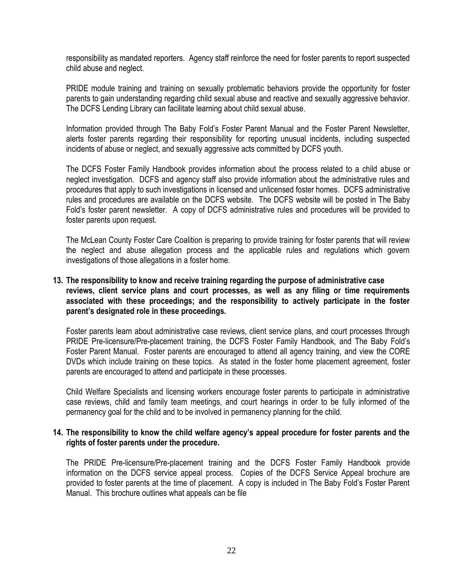responsibility as mandated reporters. Agency staff reinforce the need for foster parents to report suspected child abuse and neglect.

PRIDE module training and training on sexually problematic behaviors provide the opportunity for foster parents to gain understanding regarding child sexual abuse and reactive and sexually aggressive behavior. The DCFS Lending Library can facilitate learning about child sexual abuse.

Information provided through The Baby Fold"s Foster Parent Manual and the Foster Parent Newsletter, alerts foster parents regarding their responsibility for reporting unusual incidents, including suspected incidents of abuse or neglect, and sexually aggressive acts committed by DCFS youth.

The DCFS Foster Family Handbook provides information about the process related to a child abuse or neglect investigation. DCFS and agency staff also provide information about the administrative rules and procedures that apply to such investigations in licensed and unlicensed foster homes. DCFS administrative rules and procedures are available on the DCFS website. The DCFS website will be posted in The Baby Fold"s foster parent newsletter. A copy of DCFS administrative rules and procedures will be provided to foster parents upon request.

The McLean County Foster Care Coalition is preparing to provide training for foster parents that will review the neglect and abuse allegation process and the applicable rules and regulations which govern investigations of those allegations in a foster home.

# **13. The responsibility to know and receive training regarding the purpose of administrative case reviews, client service plans and court processes, as well as any filing or time requirements associated with these proceedings; and the responsibility to actively participate in the foster parent's designated role in these proceedings.**

Foster parents learn about administrative case reviews, client service plans, and court processes through PRIDE Pre-licensure/Pre-placement training, the DCFS Foster Family Handbook, and The Baby Fold"s Foster Parent Manual. Foster parents are encouraged to attend all agency training, and view the CORE DVDs which include training on these topics. As stated in the foster home placement agreement, foster parents are encouraged to attend and participate in these processes*.*

Child Welfare Specialists and licensing workers encourage foster parents to participate in administrative case reviews, child and family team meetings, and court hearings in order to be fully informed of the permanency goal for the child and to be involved in permanency planning for the child.

#### **14. The responsibility to know the child welfare agency's appeal procedure for foster parents and the rights of foster parents under the procedure.**

The PRIDE Pre-licensure/Pre-placement training and the DCFS Foster Family Handbook provide information on the DCFS service appeal process. Copies of the DCFS Service Appeal brochure are provided to foster parents at the time of placement. A copy is included in The Baby Fold"s Foster Parent Manual. This brochure outlines what appeals can be file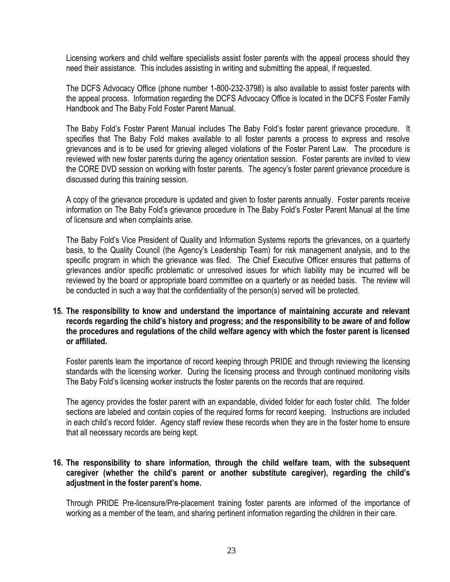Licensing workers and child welfare specialists assist foster parents with the appeal process should they need their assistance. This includes assisting in writing and submitting the appeal, if requested.

The DCFS Advocacy Office (phone number 1-800-232-3798) is also available to assist foster parents with the appeal process. Information regarding the DCFS Advocacy Office is located in the DCFS Foster Family Handbook and The Baby Fold Foster Parent Manual.

The Baby Fold"s Foster Parent Manual includes The Baby Fold"s foster parent grievance procedure. It specifies that The Baby Fold makes available to all foster parents a process to express and resolve grievances and is to be used for grieving alleged violations of the Foster Parent Law. The procedure is reviewed with new foster parents during the agency orientation session. Foster parents are invited to view the CORE DVD session on working with foster parents. The agency"s foster parent grievance procedure is discussed during this training session.

A copy of the grievance procedure is updated and given to foster parents annually.Foster parents receive information on The Baby Fold"s grievance procedure in The Baby Fold"s Foster Parent Manual at the time of licensure and when complaints arise.

The Baby Fold"s Vice President of Quality and Information Systems reports the grievances, on a quarterly basis, to the Quality Council (the Agency"s Leadership Team) for risk management analysis, and to the specific program in which the grievance was filed. The Chief Executive Officer ensures that patterns of grievances and/or specific problematic or unresolved issues for which liability may be incurred will be reviewed by the board or appropriate board committee on a quarterly or as needed basis. The review will be conducted in such a way that the confidentiality of the person(s) served will be protected.

**15. The responsibility to know and understand the importance of maintaining accurate and relevant records regarding the child's history and progress; and the responsibility to be aware of and follow the procedures and regulations of the child welfare agency with which the foster parent is licensed or affiliated.**

Foster parents learn the importance of record keeping through PRIDE and through reviewing the licensing standards with the licensing worker. During the licensing process and through continued monitoring visits The Baby Fold"s licensing worker instructs the foster parents on the records that are required.

The agency provides the foster parent with an expandable, divided folder for each foster child. The folder sections are labeled and contain copies of the required forms for record keeping*.* Instructions are included in each child"s record folder. Agency staff review these records when they are in the foster home to ensure that all necessary records are being kept.

# **16. The responsibility to share information, through the child welfare team, with the subsequent caregiver (whether the child's parent or another substitute caregiver), regarding the child's adjustment in the foster parent's home.**

Through PRIDE Pre-licensure/Pre-placement training foster parents are informed of the importance of working as a member of the team, and sharing pertinent information regarding the children in their care.